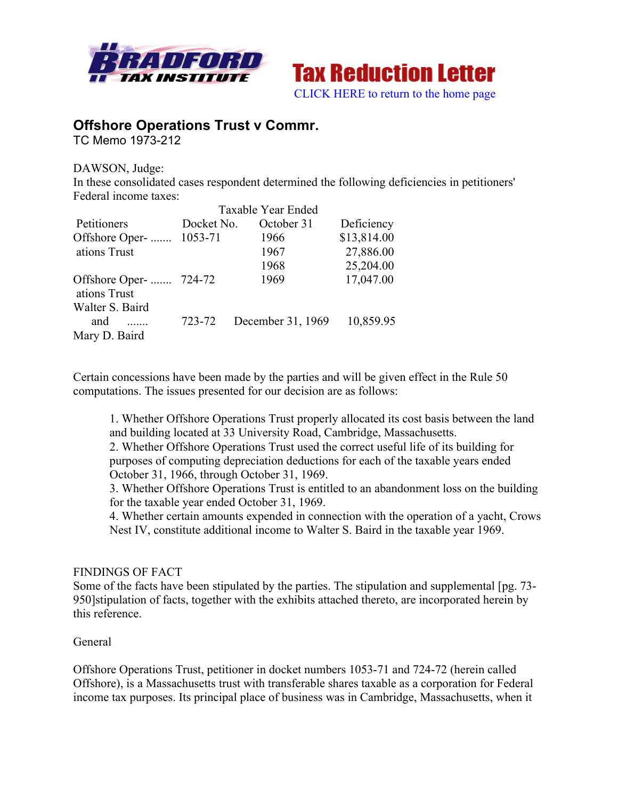



# **Offshore Operations Trust v Commr.**

TC Memo 1973-212

DAWSON, Judge: In these consolidated cases respondent determined the following deficiencies in petitioners' Federal income taxes:

|                                                  | Taxable Year Ended |                   |             |
|--------------------------------------------------|--------------------|-------------------|-------------|
| Petitioners                                      | Docket No.         | October 31        | Deficiency  |
| Offshore Oper-  1053-71                          |                    | 1966              | \$13,814.00 |
| ations Trust                                     |                    | 1967              | 27,886.00   |
|                                                  |                    | 1968              | 25,204.00   |
| Offshore Oper-  724-72<br>ations Trust           |                    | 1969              | 17,047.00   |
| Walter S. Baird                                  |                    |                   |             |
| and<br>$\overline{\phantom{a}}$<br>Mary D. Baird | 723-72             | December 31, 1969 | 10,859.95   |

Certain concessions have been made by the parties and will be given effect in the Rule 50 computations. The issues presented for our decision are as follows:

1. Whether Offshore Operations Trust properly allocated its cost basis between the land and building located at 33 University Road, Cambridge, Massachusetts. 2. Whether Offshore Operations Trust used the correct useful life of its building for purposes of computing depreciation deductions for each of the taxable years ended

October 31, 1966, through October 31, 1969.

3. Whether Offshore Operations Trust is entitled to an abandonment loss on the building for the taxable year ended October 31, 1969.

4. Whether certain amounts expended in connection with the operation of a yacht, Crows Nest IV, constitute additional income to Walter S. Baird in the taxable year 1969.

## FINDINGS OF FACT

Some of the facts have been stipulated by the parties. The stipulation and supplemental [pg. 73- 950]stipulation of facts, together with the exhibits attached thereto, are incorporated herein by this reference.

## General

Offshore Operations Trust, petitioner in docket numbers 1053-71 and 724-72 (herein called Offshore), is a Massachusetts trust with transferable shares taxable as a corporation for Federal income tax purposes. Its principal place of business was in Cambridge, Massachusetts, when it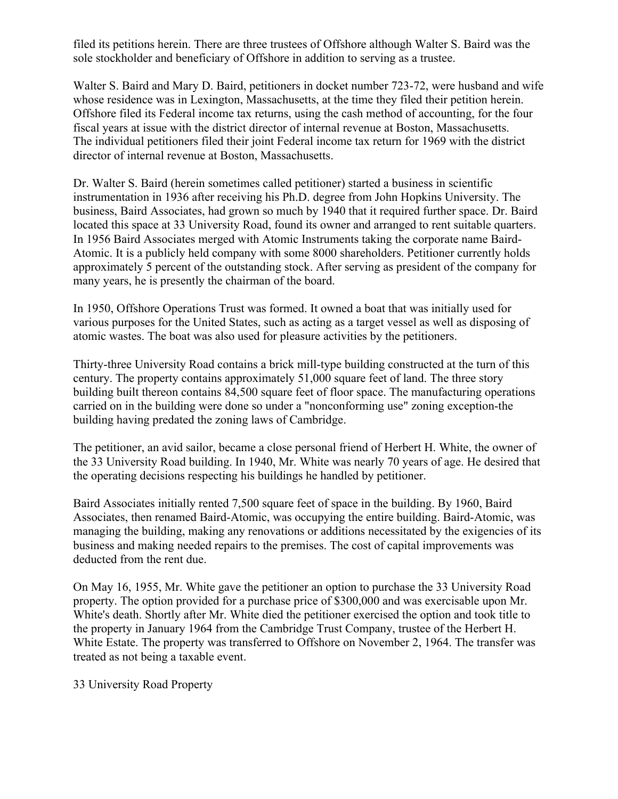filed its petitions herein. There are three trustees of Offshore although Walter S. Baird was the sole stockholder and beneficiary of Offshore in addition to serving as a trustee.

Walter S. Baird and Mary D. Baird, petitioners in docket number 723-72, were husband and wife whose residence was in Lexington, Massachusetts, at the time they filed their petition herein. Offshore filed its Federal income tax returns, using the cash method of accounting, for the four fiscal years at issue with the district director of internal revenue at Boston, Massachusetts. The individual petitioners filed their joint Federal income tax return for 1969 with the district director of internal revenue at Boston, Massachusetts.

Dr. Walter S. Baird (herein sometimes called petitioner) started a business in scientific instrumentation in 1936 after receiving his Ph.D. degree from John Hopkins University. The business, Baird Associates, had grown so much by 1940 that it required further space. Dr. Baird located this space at 33 University Road, found its owner and arranged to rent suitable quarters. In 1956 Baird Associates merged with Atomic Instruments taking the corporate name Baird-Atomic. It is a publicly held company with some 8000 shareholders. Petitioner currently holds approximately 5 percent of the outstanding stock. After serving as president of the company for many years, he is presently the chairman of the board.

In 1950, Offshore Operations Trust was formed. It owned a boat that was initially used for various purposes for the United States, such as acting as a target vessel as well as disposing of atomic wastes. The boat was also used for pleasure activities by the petitioners.

Thirty-three University Road contains a brick mill-type building constructed at the turn of this century. The property contains approximately 51,000 square feet of land. The three story building built thereon contains 84,500 square feet of floor space. The manufacturing operations carried on in the building were done so under a "nonconforming use" zoning exception-the building having predated the zoning laws of Cambridge.

The petitioner, an avid sailor, became a close personal friend of Herbert H. White, the owner of the 33 University Road building. In 1940, Mr. White was nearly 70 years of age. He desired that the operating decisions respecting his buildings he handled by petitioner.

Baird Associates initially rented 7,500 square feet of space in the building. By 1960, Baird Associates, then renamed Baird-Atomic, was occupying the entire building. Baird-Atomic, was managing the building, making any renovations or additions necessitated by the exigencies of its business and making needed repairs to the premises. The cost of capital improvements was deducted from the rent due.

On May 16, 1955, Mr. White gave the petitioner an option to purchase the 33 University Road property. The option provided for a purchase price of \$300,000 and was exercisable upon Mr. White's death. Shortly after Mr. White died the petitioner exercised the option and took title to the property in January 1964 from the Cambridge Trust Company, trustee of the Herbert H. White Estate. The property was transferred to Offshore on November 2, 1964. The transfer was treated as not being a taxable event.

33 University Road Property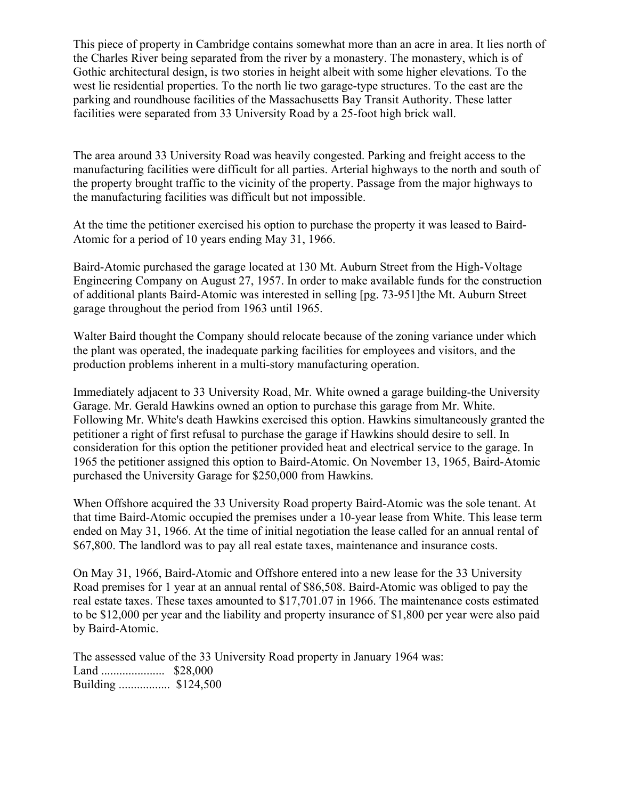This piece of property in Cambridge contains somewhat more than an acre in area. It lies north of the Charles River being separated from the river by a monastery. The monastery, which is of Gothic architectural design, is two stories in height albeit with some higher elevations. To the west lie residential properties. To the north lie two garage-type structures. To the east are the parking and roundhouse facilities of the Massachusetts Bay Transit Authority. These latter facilities were separated from 33 University Road by a 25-foot high brick wall.

The area around 33 University Road was heavily congested. Parking and freight access to the manufacturing facilities were difficult for all parties. Arterial highways to the north and south of the property brought traffic to the vicinity of the property. Passage from the major highways to the manufacturing facilities was difficult but not impossible.

At the time the petitioner exercised his option to purchase the property it was leased to Baird-Atomic for a period of 10 years ending May 31, 1966.

Baird-Atomic purchased the garage located at 130 Mt. Auburn Street from the High-Voltage Engineering Company on August 27, 1957. In order to make available funds for the construction of additional plants Baird-Atomic was interested in selling [pg. 73-951]the Mt. Auburn Street garage throughout the period from 1963 until 1965.

Walter Baird thought the Company should relocate because of the zoning variance under which the plant was operated, the inadequate parking facilities for employees and visitors, and the production problems inherent in a multi-story manufacturing operation.

Immediately adjacent to 33 University Road, Mr. White owned a garage building-the University Garage. Mr. Gerald Hawkins owned an option to purchase this garage from Mr. White. Following Mr. White's death Hawkins exercised this option. Hawkins simultaneously granted the petitioner a right of first refusal to purchase the garage if Hawkins should desire to sell. In consideration for this option the petitioner provided heat and electrical service to the garage. In 1965 the petitioner assigned this option to Baird-Atomic. On November 13, 1965, Baird-Atomic purchased the University Garage for \$250,000 from Hawkins.

When Offshore acquired the 33 University Road property Baird-Atomic was the sole tenant. At that time Baird-Atomic occupied the premises under a 10-year lease from White. This lease term ended on May 31, 1966. At the time of initial negotiation the lease called for an annual rental of \$67,800. The landlord was to pay all real estate taxes, maintenance and insurance costs.

On May 31, 1966, Baird-Atomic and Offshore entered into a new lease for the 33 University Road premises for 1 year at an annual rental of \$86,508. Baird-Atomic was obliged to pay the real estate taxes. These taxes amounted to \$17,701.07 in 1966. The maintenance costs estimated to be \$12,000 per year and the liability and property insurance of \$1,800 per year were also paid by Baird-Atomic.

The assessed value of the 33 University Road property in January 1964 was: Land ..................... \$28,000 Building ................. \$124,500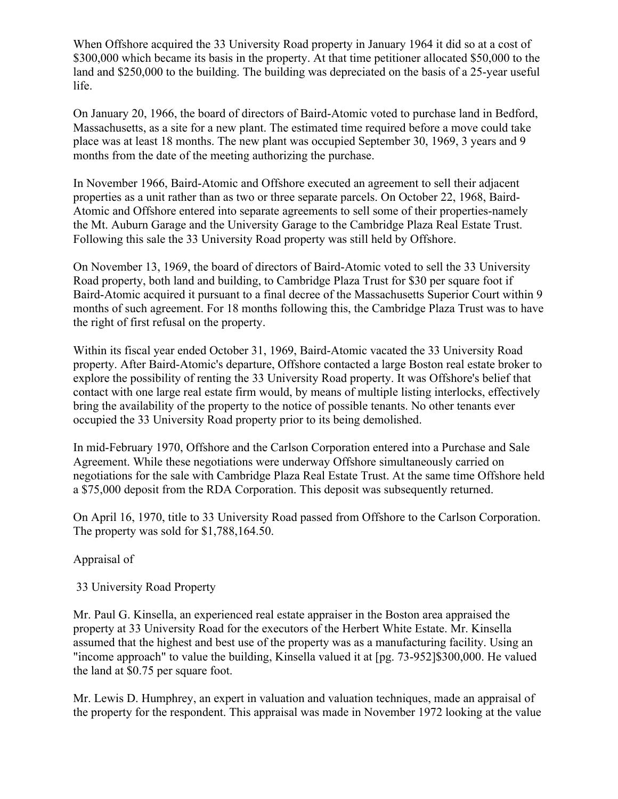When Offshore acquired the 33 University Road property in January 1964 it did so at a cost of \$300,000 which became its basis in the property. At that time petitioner allocated \$50,000 to the land and \$250,000 to the building. The building was depreciated on the basis of a 25-year useful life.

On January 20, 1966, the board of directors of Baird-Atomic voted to purchase land in Bedford, Massachusetts, as a site for a new plant. The estimated time required before a move could take place was at least 18 months. The new plant was occupied September 30, 1969, 3 years and 9 months from the date of the meeting authorizing the purchase.

In November 1966, Baird-Atomic and Offshore executed an agreement to sell their adjacent properties as a unit rather than as two or three separate parcels. On October 22, 1968, Baird-Atomic and Offshore entered into separate agreements to sell some of their properties-namely the Mt. Auburn Garage and the University Garage to the Cambridge Plaza Real Estate Trust. Following this sale the 33 University Road property was still held by Offshore.

On November 13, 1969, the board of directors of Baird-Atomic voted to sell the 33 University Road property, both land and building, to Cambridge Plaza Trust for \$30 per square foot if Baird-Atomic acquired it pursuant to a final decree of the Massachusetts Superior Court within 9 months of such agreement. For 18 months following this, the Cambridge Plaza Trust was to have the right of first refusal on the property.

Within its fiscal year ended October 31, 1969, Baird-Atomic vacated the 33 University Road property. After Baird-Atomic's departure, Offshore contacted a large Boston real estate broker to explore the possibility of renting the 33 University Road property. It was Offshore's belief that contact with one large real estate firm would, by means of multiple listing interlocks, effectively bring the availability of the property to the notice of possible tenants. No other tenants ever occupied the 33 University Road property prior to its being demolished.

In mid-February 1970, Offshore and the Carlson Corporation entered into a Purchase and Sale Agreement. While these negotiations were underway Offshore simultaneously carried on negotiations for the sale with Cambridge Plaza Real Estate Trust. At the same time Offshore held a \$75,000 deposit from the RDA Corporation. This deposit was subsequently returned.

On April 16, 1970, title to 33 University Road passed from Offshore to the Carlson Corporation. The property was sold for \$1,788,164.50.

Appraisal of

33 University Road Property

Mr. Paul G. Kinsella, an experienced real estate appraiser in the Boston area appraised the property at 33 University Road for the executors of the Herbert White Estate. Mr. Kinsella assumed that the highest and best use of the property was as a manufacturing facility. Using an "income approach" to value the building, Kinsella valued it at [pg. 73-952]\$300,000. He valued the land at \$0.75 per square foot.

Mr. Lewis D. Humphrey, an expert in valuation and valuation techniques, made an appraisal of the property for the respondent. This appraisal was made in November 1972 looking at the value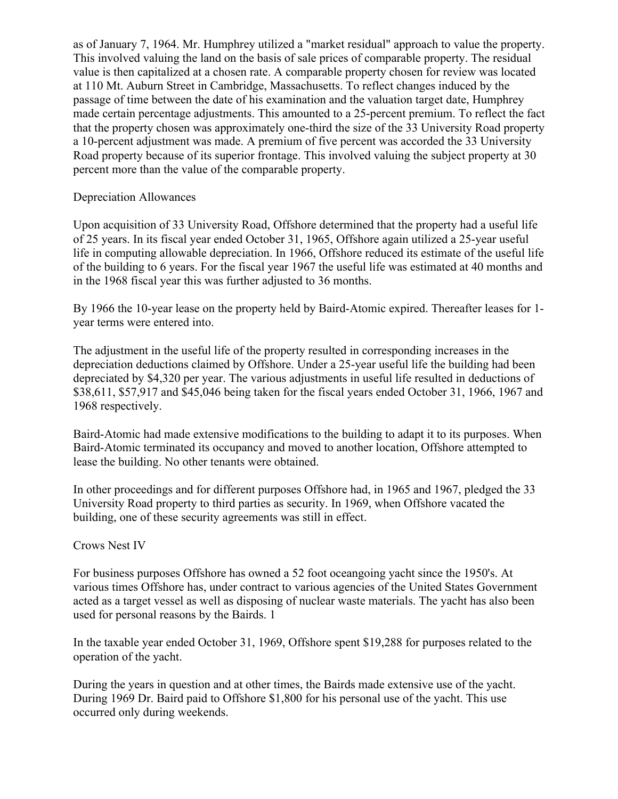as of January 7, 1964. Mr. Humphrey utilized a "market residual" approach to value the property. This involved valuing the land on the basis of sale prices of comparable property. The residual value is then capitalized at a chosen rate. A comparable property chosen for review was located at 110 Mt. Auburn Street in Cambridge, Massachusetts. To reflect changes induced by the passage of time between the date of his examination and the valuation target date, Humphrey made certain percentage adjustments. This amounted to a 25-percent premium. To reflect the fact that the property chosen was approximately one-third the size of the 33 University Road property a 10-percent adjustment was made. A premium of five percent was accorded the 33 University Road property because of its superior frontage. This involved valuing the subject property at 30 percent more than the value of the comparable property.

## Depreciation Allowances

Upon acquisition of 33 University Road, Offshore determined that the property had a useful life of 25 years. In its fiscal year ended October 31, 1965, Offshore again utilized a 25-year useful life in computing allowable depreciation. In 1966, Offshore reduced its estimate of the useful life of the building to 6 years. For the fiscal year 1967 the useful life was estimated at 40 months and in the 1968 fiscal year this was further adjusted to 36 months.

By 1966 the 10-year lease on the property held by Baird-Atomic expired. Thereafter leases for 1 year terms were entered into.

The adjustment in the useful life of the property resulted in corresponding increases in the depreciation deductions claimed by Offshore. Under a 25-year useful life the building had been depreciated by \$4,320 per year. The various adjustments in useful life resulted in deductions of \$38,611, \$57,917 and \$45,046 being taken for the fiscal years ended October 31, 1966, 1967 and 1968 respectively.

Baird-Atomic had made extensive modifications to the building to adapt it to its purposes. When Baird-Atomic terminated its occupancy and moved to another location, Offshore attempted to lease the building. No other tenants were obtained.

In other proceedings and for different purposes Offshore had, in 1965 and 1967, pledged the 33 University Road property to third parties as security. In 1969, when Offshore vacated the building, one of these security agreements was still in effect.

## Crows Nest IV

For business purposes Offshore has owned a 52 foot oceangoing yacht since the 1950's. At various times Offshore has, under contract to various agencies of the United States Government acted as a target vessel as well as disposing of nuclear waste materials. The yacht has also been used for personal reasons by the Bairds. 1

In the taxable year ended October 31, 1969, Offshore spent \$19,288 for purposes related to the operation of the yacht.

During the years in question and at other times, the Bairds made extensive use of the yacht. During 1969 Dr. Baird paid to Offshore \$1,800 for his personal use of the yacht. This use occurred only during weekends.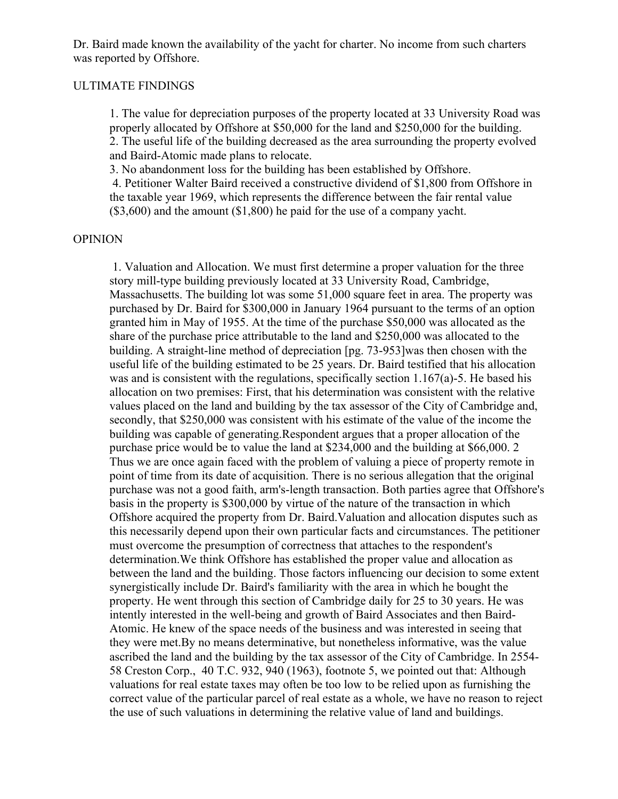Dr. Baird made known the availability of the yacht for charter. No income from such charters was reported by Offshore.

### ULTIMATE FINDINGS

1. The value for depreciation purposes of the property located at 33 University Road was properly allocated by Offshore at \$50,000 for the land and \$250,000 for the building. 2. The useful life of the building decreased as the area surrounding the property evolved and Baird-Atomic made plans to relocate.

3. No abandonment loss for the building has been established by Offshore.

4. Petitioner Walter Baird received a constructive dividend of \$1,800 from Offshore in the taxable year 1969, which represents the difference between the fair rental value (\$3,600) and the amount (\$1,800) he paid for the use of a company yacht.

#### **OPINION**

1. Valuation and Allocation. We must first determine a proper valuation for the three story mill-type building previously located at 33 University Road, Cambridge, Massachusetts. The building lot was some 51,000 square feet in area. The property was purchased by Dr. Baird for \$300,000 in January 1964 pursuant to the terms of an option granted him in May of 1955. At the time of the purchase \$50,000 was allocated as the share of the purchase price attributable to the land and \$250,000 was allocated to the building. A straight-line method of depreciation [pg. 73-953]was then chosen with the useful life of the building estimated to be 25 years. Dr. Baird testified that his allocation was and is consistent with the regulations, specifically section 1.167(a)-5. He based his allocation on two premises: First, that his determination was consistent with the relative values placed on the land and building by the tax assessor of the City of Cambridge and, secondly, that \$250,000 was consistent with his estimate of the value of the income the building was capable of generating.Respondent argues that a proper allocation of the purchase price would be to value the land at \$234,000 and the building at \$66,000. 2 Thus we are once again faced with the problem of valuing a piece of property remote in point of time from its date of acquisition. There is no serious allegation that the original purchase was not a good faith, arm's-length transaction. Both parties agree that Offshore's basis in the property is \$300,000 by virtue of the nature of the transaction in which Offshore acquired the property from Dr. Baird.Valuation and allocation disputes such as this necessarily depend upon their own particular facts and circumstances. The petitioner must overcome the presumption of correctness that attaches to the respondent's determination.We think Offshore has established the proper value and allocation as between the land and the building. Those factors influencing our decision to some extent synergistically include Dr. Baird's familiarity with the area in which he bought the property. He went through this section of Cambridge daily for 25 to 30 years. He was intently interested in the well-being and growth of Baird Associates and then Baird-Atomic. He knew of the space needs of the business and was interested in seeing that they were met.By no means determinative, but nonetheless informative, was the value ascribed the land and the building by the tax assessor of the City of Cambridge. In 2554- 58 Creston Corp., 40 T.C. 932, 940 (1963), footnote 5, we pointed out that: Although valuations for real estate taxes may often be too low to be relied upon as furnishing the correct value of the particular parcel of real estate as a whole, we have no reason to reject the use of such valuations in determining the relative value of land and buildings.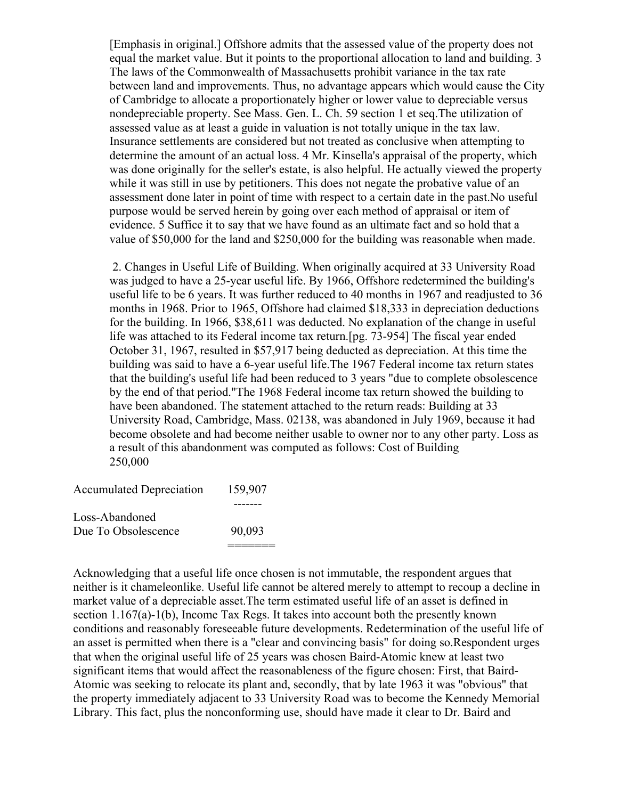[Emphasis in original.] Offshore admits that the assessed value of the property does not equal the market value. But it points to the proportional allocation to land and building. 3 The laws of the Commonwealth of Massachusetts prohibit variance in the tax rate between land and improvements. Thus, no advantage appears which would cause the City of Cambridge to allocate a proportionately higher or lower value to depreciable versus nondepreciable property. See Mass. Gen. L. Ch. 59 section 1 et seq.The utilization of assessed value as at least a guide in valuation is not totally unique in the tax law. Insurance settlements are considered but not treated as conclusive when attempting to determine the amount of an actual loss. 4 Mr. Kinsella's appraisal of the property, which was done originally for the seller's estate, is also helpful. He actually viewed the property while it was still in use by petitioners. This does not negate the probative value of an assessment done later in point of time with respect to a certain date in the past.No useful purpose would be served herein by going over each method of appraisal or item of evidence. 5 Suffice it to say that we have found as an ultimate fact and so hold that a value of \$50,000 for the land and \$250,000 for the building was reasonable when made.

2. Changes in Useful Life of Building. When originally acquired at 33 University Road was judged to have a 25-year useful life. By 1966, Offshore redetermined the building's useful life to be 6 years. It was further reduced to 40 months in 1967 and readjusted to 36 months in 1968. Prior to 1965, Offshore had claimed \$18,333 in depreciation deductions for the building. In 1966, \$38,611 was deducted. No explanation of the change in useful life was attached to its Federal income tax return.[pg. 73-954] The fiscal year ended October 31, 1967, resulted in \$57,917 being deducted as depreciation. At this time the building was said to have a 6-year useful life.The 1967 Federal income tax return states that the building's useful life had been reduced to 3 years "due to complete obsolescence by the end of that period."The 1968 Federal income tax return showed the building to have been abandoned. The statement attached to the return reads: Building at 33 University Road, Cambridge, Mass. 02138, was abandoned in July 1969, because it had become obsolete and had become neither usable to owner nor to any other party. Loss as a result of this abandonment was computed as follows: Cost of Building 250,000

| <b>Accumulated Depreciation</b> | 159,907 |
|---------------------------------|---------|
|                                 |         |
| Loss-Abandoned                  |         |
| Due To Obsolescence             | 90,093  |
|                                 |         |

Acknowledging that a useful life once chosen is not immutable, the respondent argues that neither is it chameleonlike. Useful life cannot be altered merely to attempt to recoup a decline in market value of a depreciable asset.The term estimated useful life of an asset is defined in section 1.167(a)-1(b), Income Tax Regs. It takes into account both the presently known conditions and reasonably foreseeable future developments. Redetermination of the useful life of an asset is permitted when there is a "clear and convincing basis" for doing so.Respondent urges that when the original useful life of 25 years was chosen Baird-Atomic knew at least two significant items that would affect the reasonableness of the figure chosen: First, that Baird-Atomic was seeking to relocate its plant and, secondly, that by late 1963 it was "obvious" that the property immediately adjacent to 33 University Road was to become the Kennedy Memorial Library. This fact, plus the nonconforming use, should have made it clear to Dr. Baird and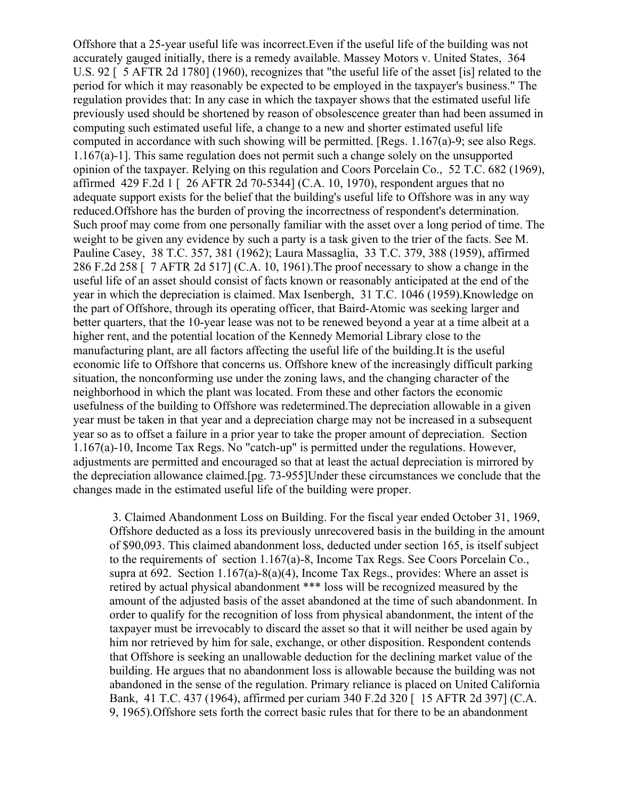Offshore that a 25-year useful life was incorrect.Even if the useful life of the building was not accurately gauged initially, there is a remedy available. Massey Motors v. United States, 364 U.S. 92 [ 5 AFTR 2d 1780] (1960), recognizes that "the useful life of the asset [is] related to the period for which it may reasonably be expected to be employed in the taxpayer's business." The regulation provides that: In any case in which the taxpayer shows that the estimated useful life previously used should be shortened by reason of obsolescence greater than had been assumed in computing such estimated useful life, a change to a new and shorter estimated useful life computed in accordance with such showing will be permitted. [Regs. 1.167(a)-9; see also Regs. 1.167(a)-1]. This same regulation does not permit such a change solely on the unsupported opinion of the taxpayer. Relying on this regulation and Coors Porcelain Co., 52 T.C. 682 (1969), affirmed 429 F.2d 1 [ 26 AFTR 2d 70-5344] (C.A. 10, 1970), respondent argues that no adequate support exists for the belief that the building's useful life to Offshore was in any way reduced.Offshore has the burden of proving the incorrectness of respondent's determination. Such proof may come from one personally familiar with the asset over a long period of time. The weight to be given any evidence by such a party is a task given to the trier of the facts. See M. Pauline Casey, 38 T.C. 357, 381 (1962); Laura Massaglia, 33 T.C. 379, 388 (1959), affirmed 286 F.2d 258 [ 7 AFTR 2d 517] (C.A. 10, 1961).The proof necessary to show a change in the useful life of an asset should consist of facts known or reasonably anticipated at the end of the year in which the depreciation is claimed. Max Isenbergh, 31 T.C. 1046 (1959).Knowledge on the part of Offshore, through its operating officer, that Baird-Atomic was seeking larger and better quarters, that the 10-year lease was not to be renewed beyond a year at a time albeit at a higher rent, and the potential location of the Kennedy Memorial Library close to the manufacturing plant, are all factors affecting the useful life of the building.It is the useful economic life to Offshore that concerns us. Offshore knew of the increasingly difficult parking situation, the nonconforming use under the zoning laws, and the changing character of the neighborhood in which the plant was located. From these and other factors the economic usefulness of the building to Offshore was redetermined.The depreciation allowable in a given year must be taken in that year and a depreciation charge may not be increased in a subsequent year so as to offset a failure in a prior year to take the proper amount of depreciation. Section 1.167(a)-10, Income Tax Regs. No "catch-up" is permitted under the regulations. However, adjustments are permitted and encouraged so that at least the actual depreciation is mirrored by the depreciation allowance claimed.[pg. 73-955]Under these circumstances we conclude that the changes made in the estimated useful life of the building were proper.

3. Claimed Abandonment Loss on Building. For the fiscal year ended October 31, 1969, Offshore deducted as a loss its previously unrecovered basis in the building in the amount of \$90,093. This claimed abandonment loss, deducted under section 165, is itself subject to the requirements of section 1.167(a)-8, Income Tax Regs. See Coors Porcelain Co., supra at 692. Section  $1.167(a) - 8(a)(4)$ , Income Tax Regs., provides: Where an asset is retired by actual physical abandonment \*\*\* loss will be recognized measured by the amount of the adjusted basis of the asset abandoned at the time of such abandonment. In order to qualify for the recognition of loss from physical abandonment, the intent of the taxpayer must be irrevocably to discard the asset so that it will neither be used again by him nor retrieved by him for sale, exchange, or other disposition. Respondent contends that Offshore is seeking an unallowable deduction for the declining market value of the building. He argues that no abandonment loss is allowable because the building was not abandoned in the sense of the regulation. Primary reliance is placed on United California Bank, 41 T.C. 437 (1964), affirmed per curiam 340 F.2d 320 [ 15 AFTR 2d 397] (C.A. 9, 1965).Offshore sets forth the correct basic rules that for there to be an abandonment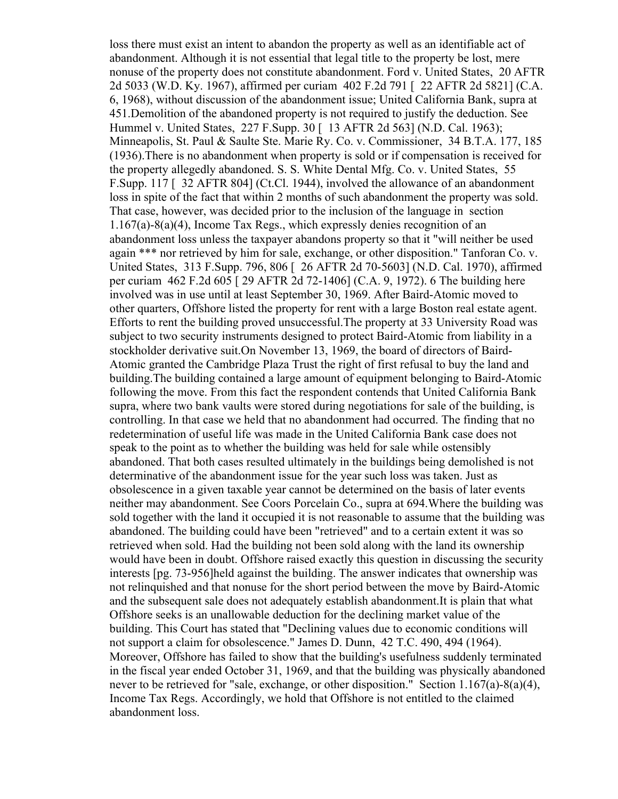loss there must exist an intent to abandon the property as well as an identifiable act of abandonment. Although it is not essential that legal title to the property be lost, mere nonuse of the property does not constitute abandonment. Ford v. United States, 20 AFTR 2d 5033 (W.D. Ky. 1967), affirmed per curiam 402 F.2d 791 [ 22 AFTR 2d 5821] (C.A. 6, 1968), without discussion of the abandonment issue; United California Bank, supra at 451.Demolition of the abandoned property is not required to justify the deduction. See Hummel v. United States, 227 F. Supp. 30 [ 13 AFTR 2d 563] (N.D. Cal. 1963); Minneapolis, St. Paul & Saulte Ste. Marie Ry. Co. v. Commissioner, 34 B.T.A. 177, 185 (1936).There is no abandonment when property is sold or if compensation is received for the property allegedly abandoned. S. S. White Dental Mfg. Co. v. United States, 55 F.Supp. 117 [ 32 AFTR 804] (Ct.Cl. 1944), involved the allowance of an abandonment loss in spite of the fact that within 2 months of such abandonment the property was sold. That case, however, was decided prior to the inclusion of the language in section 1.167(a)-8(a)(4), Income Tax Regs., which expressly denies recognition of an abandonment loss unless the taxpayer abandons property so that it "will neither be used again \*\*\* nor retrieved by him for sale, exchange, or other disposition." Tanforan Co. v. United States, 313 F.Supp. 796, 806 [ 26 AFTR 2d 70-5603] (N.D. Cal. 1970), affirmed per curiam 462 F.2d 605 [ 29 AFTR 2d 72-1406] (C.A. 9, 1972). 6 The building here involved was in use until at least September 30, 1969. After Baird-Atomic moved to other quarters, Offshore listed the property for rent with a large Boston real estate agent. Efforts to rent the building proved unsuccessful.The property at 33 University Road was subject to two security instruments designed to protect Baird-Atomic from liability in a stockholder derivative suit.On November 13, 1969, the board of directors of Baird-Atomic granted the Cambridge Plaza Trust the right of first refusal to buy the land and building.The building contained a large amount of equipment belonging to Baird-Atomic following the move. From this fact the respondent contends that United California Bank supra, where two bank vaults were stored during negotiations for sale of the building, is controlling. In that case we held that no abandonment had occurred. The finding that no redetermination of useful life was made in the United California Bank case does not speak to the point as to whether the building was held for sale while ostensibly abandoned. That both cases resulted ultimately in the buildings being demolished is not determinative of the abandonment issue for the year such loss was taken. Just as obsolescence in a given taxable year cannot be determined on the basis of later events neither may abandonment. See Coors Porcelain Co., supra at 694.Where the building was sold together with the land it occupied it is not reasonable to assume that the building was abandoned. The building could have been "retrieved" and to a certain extent it was so retrieved when sold. Had the building not been sold along with the land its ownership would have been in doubt. Offshore raised exactly this question in discussing the security interests [pg. 73-956]held against the building. The answer indicates that ownership was not relinquished and that nonuse for the short period between the move by Baird-Atomic and the subsequent sale does not adequately establish abandonment.It is plain that what Offshore seeks is an unallowable deduction for the declining market value of the building. This Court has stated that "Declining values due to economic conditions will not support a claim for obsolescence." James D. Dunn, 42 T.C. 490, 494 (1964). Moreover, Offshore has failed to show that the building's usefulness suddenly terminated in the fiscal year ended October 31, 1969, and that the building was physically abandoned never to be retrieved for "sale, exchange, or other disposition." Section 1.167(a)-8(a)(4), Income Tax Regs. Accordingly, we hold that Offshore is not entitled to the claimed abandonment loss.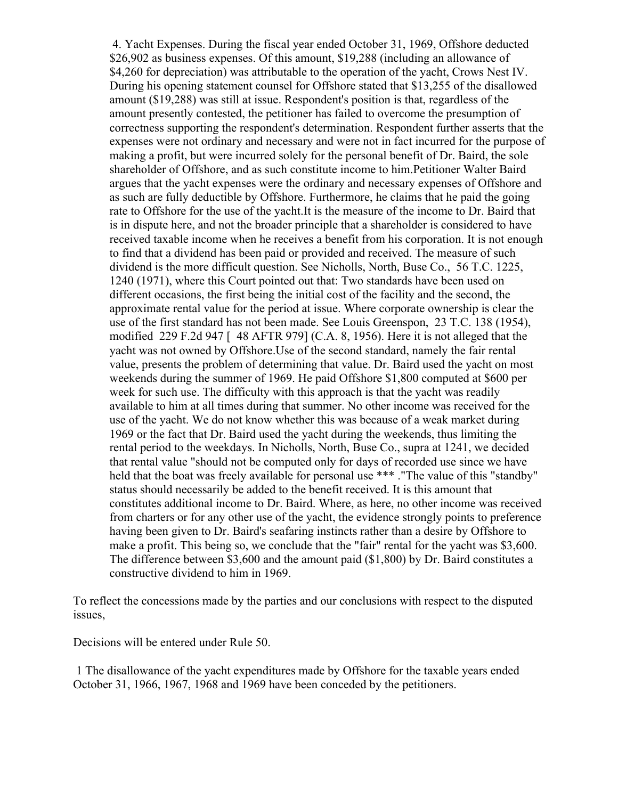4. Yacht Expenses. During the fiscal year ended October 31, 1969, Offshore deducted \$26,902 as business expenses. Of this amount, \$19,288 (including an allowance of \$4,260 for depreciation) was attributable to the operation of the yacht, Crows Nest IV. During his opening statement counsel for Offshore stated that \$13,255 of the disallowed amount (\$19,288) was still at issue. Respondent's position is that, regardless of the amount presently contested, the petitioner has failed to overcome the presumption of correctness supporting the respondent's determination. Respondent further asserts that the expenses were not ordinary and necessary and were not in fact incurred for the purpose of making a profit, but were incurred solely for the personal benefit of Dr. Baird, the sole shareholder of Offshore, and as such constitute income to him.Petitioner Walter Baird argues that the yacht expenses were the ordinary and necessary expenses of Offshore and as such are fully deductible by Offshore. Furthermore, he claims that he paid the going rate to Offshore for the use of the yacht.It is the measure of the income to Dr. Baird that is in dispute here, and not the broader principle that a shareholder is considered to have received taxable income when he receives a benefit from his corporation. It is not enough to find that a dividend has been paid or provided and received. The measure of such dividend is the more difficult question. See Nicholls, North, Buse Co., 56 T.C. 1225, 1240 (1971), where this Court pointed out that: Two standards have been used on different occasions, the first being the initial cost of the facility and the second, the approximate rental value for the period at issue. Where corporate ownership is clear the use of the first standard has not been made. See Louis Greenspon, 23 T.C. 138 (1954), modified 229 F.2d 947  $\lceil$  48 AFTR 979 $\rceil$  (C.A. 8, 1956). Here it is not alleged that the yacht was not owned by Offshore.Use of the second standard, namely the fair rental value, presents the problem of determining that value. Dr. Baird used the yacht on most weekends during the summer of 1969. He paid Offshore \$1,800 computed at \$600 per week for such use. The difficulty with this approach is that the yacht was readily available to him at all times during that summer. No other income was received for the use of the yacht. We do not know whether this was because of a weak market during 1969 or the fact that Dr. Baird used the yacht during the weekends, thus limiting the rental period to the weekdays. In Nicholls, North, Buse Co., supra at 1241, we decided that rental value "should not be computed only for days of recorded use since we have held that the boat was freely available for personal use \*\*\*. "The value of this "standby" status should necessarily be added to the benefit received. It is this amount that constitutes additional income to Dr. Baird. Where, as here, no other income was received from charters or for any other use of the yacht, the evidence strongly points to preference having been given to Dr. Baird's seafaring instincts rather than a desire by Offshore to make a profit. This being so, we conclude that the "fair" rental for the yacht was \$3,600. The difference between \$3,600 and the amount paid (\$1,800) by Dr. Baird constitutes a constructive dividend to him in 1969.

To reflect the concessions made by the parties and our conclusions with respect to the disputed issues,

Decisions will be entered under Rule 50.

1 The disallowance of the yacht expenditures made by Offshore for the taxable years ended October 31, 1966, 1967, 1968 and 1969 have been conceded by the petitioners.